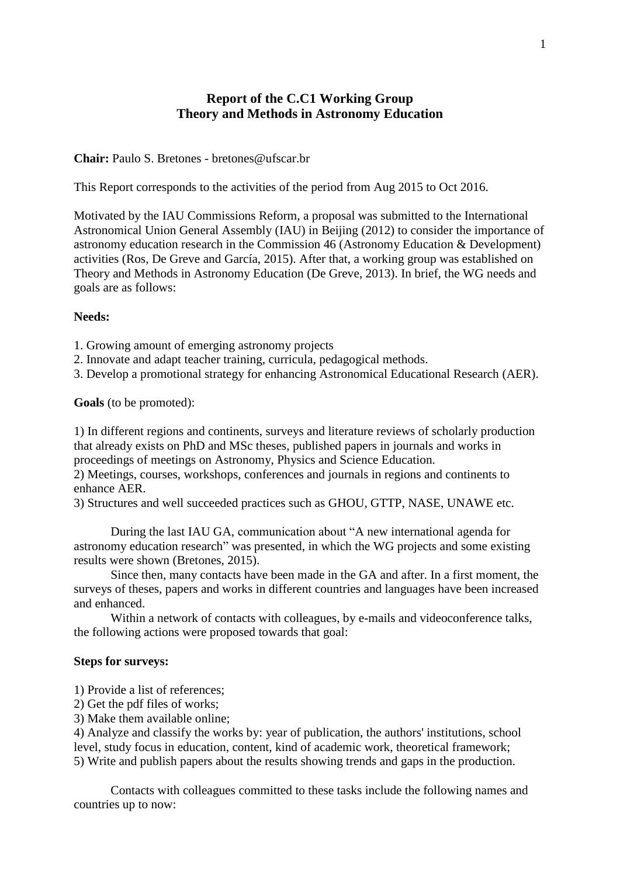# **Report of the C.C1 Working Group Theory and Methods in Astronomy Education**

# **Chair:** [Paulo S. Bretones](http://www.iau.org/science/scientific_bodies/working_groups/259/) - bretones@ufscar.br

This Report corresponds to the activities of the period from Aug 2015 to Oct 2016.

Motivated by the IAU Commissions Reform, a proposal was submitted to the International Astronomical Union General Assembly (IAU) in Beijing (2012) to consider the importance of astronomy education research in the Commission 46 (Astronomy Education & Development) activities (Ros, De Greve and García, 2015). After that, a working group was established on Theory and Methods in Astronomy Education (De Greve, 2013). In brief, the WG needs and goals are as follows:

# **Needs:**

- 1. Growing amount of emerging astronomy projects
- 2. Innovate and adapt teacher training, curricula, pedagogical methods.
- 3. Develop a promotional strategy for enhancing Astronomical Educational Research (AER).

**Goals** (to be promoted):

1) In different regions and continents, surveys and literature reviews of scholarly production that already exists on PhD and MSc theses, published papers in journals and works in proceedings of meetings on Astronomy, Physics and Science Education.

2) Meetings, courses, workshops, conferences and journals in regions and continents to enhance AER.

3) Structures and well succeeded practices such as GHOU, GTTP, NASE, UNAWE etc.

During the last IAU GA, communication about "A new international agenda for astronomy education research" was presented, in which the WG projects and some existing results were shown (Bretones, 2015).

Since then, many contacts have been made in the GA and after. In a first moment, the surveys of theses, papers and works in different countries and languages have been increased and enhanced.

Within a network of contacts with colleagues, by e-mails and videoconference talks, the following actions were proposed towards that goal:

# **Steps for surveys:**

1) Provide a list of references;

- 2) Get the pdf files of works;
- 3) Make them available online;

4) Analyze and classify the works by: year of publication, the authors' institutions, school level, study focus in education, content, kind of academic work, theoretical framework; 5) Write and publish papers about the results showing trends and gaps in the production.

Contacts with colleagues committed to these tasks include the following names and countries up to now: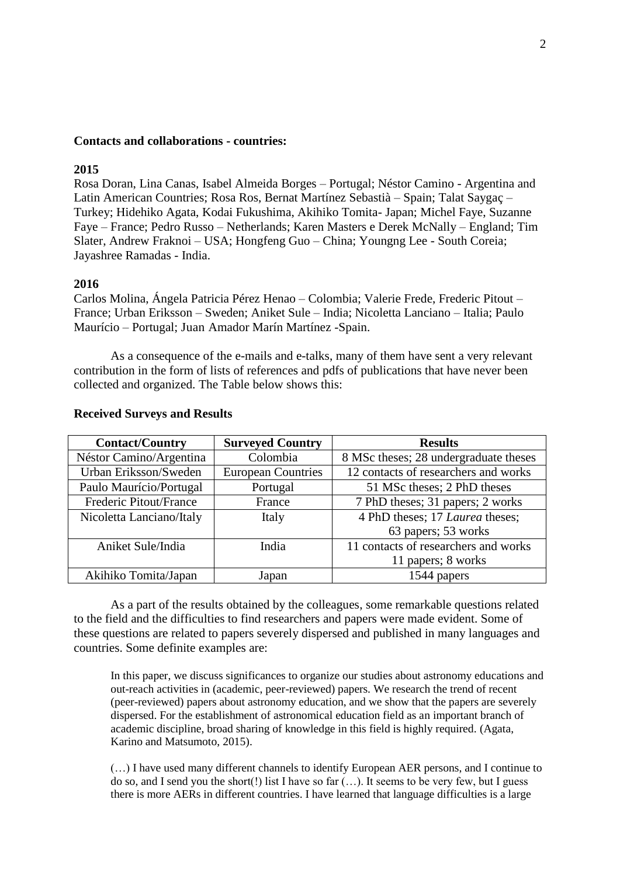#### **Contacts and collaborations - countries:**

# **2015**

Rosa Doran, Lina Canas, Isabel Almeida Borges – Portugal; Néstor Camino - Argentina and Latin American Countries; Rosa Ros, Bernat Martínez Sebastià – Spain; Talat Saygaç – Turkey; Hidehiko Agata, Kodai Fukushima, Akihiko Tomita- Japan; Michel Faye, Suzanne Faye – France; Pedro Russo – Netherlands; Karen Masters e Derek McNally – England; Tim Slater, Andrew Fraknoi – USA; Hongfeng Guo – China; Youngng Lee - South Coreia; Jayashree Ramadas - India.

#### **2016**

Carlos Molina, Ángela Patricia Pérez Henao – Colombia; Valerie Frede, Frederic Pitout – France; Urban Eriksson – Sweden; Aniket Sule – India; Nicoletta Lanciano – Italia; Paulo Maurício – Portugal; Juan Amador Marín Martínez -Spain.

As a consequence of the e-mails and e-talks, many of them have sent a very relevant contribution in the form of lists of references and pdfs of publications that have never been collected and organized. The Table below shows this:

| <b>Contact/Country</b>   | <b>Surveyed Country</b>   | <b>Results</b>                        |
|--------------------------|---------------------------|---------------------------------------|
| Néstor Camino/Argentina  | Colombia                  | 8 MSc theses; 28 undergraduate theses |
| Urban Eriksson/Sweden    | <b>European Countries</b> | 12 contacts of researchers and works  |
| Paulo Maurício/Portugal  | Portugal                  | 51 MSc theses; 2 PhD theses           |
| Frederic Pitout/France   | France                    | 7 PhD theses; 31 papers; 2 works      |
| Nicoletta Lanciano/Italy | Italy                     | 4 PhD theses; 17 Laurea theses;       |
|                          |                           | 63 papers; 53 works                   |
| Aniket Sule/India        | India                     | 11 contacts of researchers and works  |
|                          |                           | 11 papers; 8 works                    |
| Akihiko Tomita/Japan     | Japan                     | 1544 papers                           |

#### **Received Surveys and Results**

As a part of the results obtained by the colleagues, some remarkable questions related to the field and the difficulties to find researchers and papers were made evident. Some of these questions are related to papers severely dispersed and published in many languages and countries. Some definite examples are:

In this paper, we discuss significances to organize our studies about astronomy educations and out-reach activities in (academic, peer-reviewed) papers. We research the trend of recent (peer-reviewed) papers about astronomy education, and we show that the papers are severely dispersed. For the establishment of astronomical education field as an important branch of academic discipline, broad sharing of knowledge in this field is highly required. (Agata, Karino and Matsumoto, 2015).

(…) I have used many different channels to identify European AER persons, and I continue to do so, and I send you the short(!) list I have so far (…). It seems to be very few, but I guess there is more AERs in different countries. I have learned that language difficulties is a large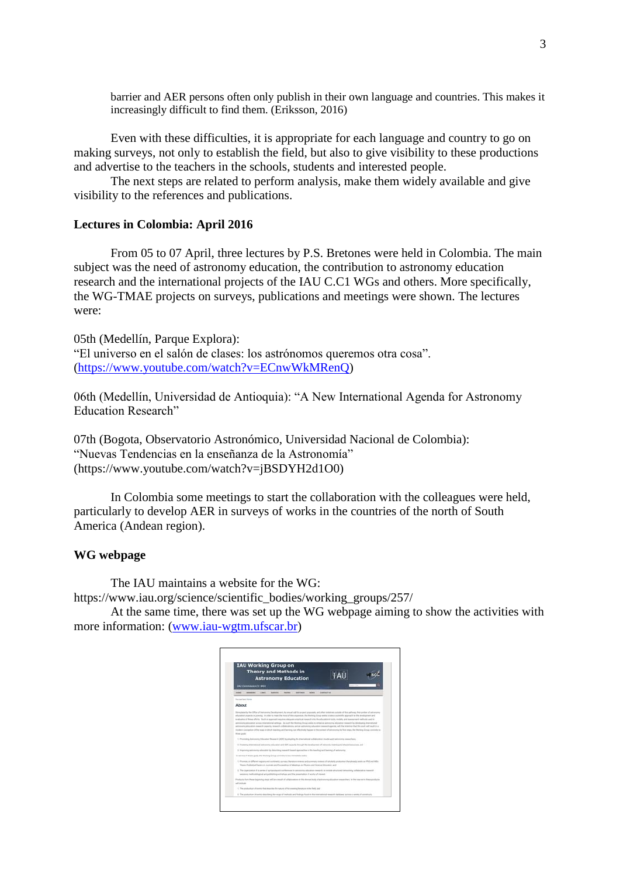barrier and AER persons often only publish in their own language and countries. This makes it increasingly difficult to find them. (Eriksson, 2016)

Even with these difficulties, it is appropriate for each language and country to go on making surveys, not only to establish the field, but also to give visibility to these productions and advertise to the teachers in the schools, students and interested people.

The next steps are related to perform analysis, make them widely available and give visibility to the references and publications.

# **Lectures in Colombia: April 2016**

From 05 to 07 April, three lectures by P.S. Bretones were held in Colombia. The main subject was the need of astronomy education, the contribution to astronomy education research and the international projects of the IAU C.C1 WGs and others. More specifically, the WG-TMAE projects on surveys, publications and meetings were shown. The lectures were:

05th (Medellín, Parque Explora): "El universo en el salón de clases: los astrónomos queremos otra cosa". [\(https://www.youtube.com/watch?v=ECnwWkMRenQ\)](https://www.youtube.com/watch?v=ECnwWkMRenQ)

06th (Medellín, Universidad de Antioquia): "A New International Agenda for Astronomy Education Research"

07th (Bogota, Observatorio Astronómico, Universidad Nacional de Colombia): "Nuevas Tendencias en la enseñanza de la Astronomía" (https://www.youtube.com/watch?v=jBSDYH2d1O0)

In Colombia some meetings to start the collaboration with the colleagues were held, particularly to develop AER in surveys of works in the countries of the north of South America (Andean region).

# **WG webpage**

The IAU maintains a website for the WG:

[https://www.iau.org/science/scientific\\_bodies/working\\_groups/257/](https://www.iau.org/science/scientific_bodies/working_groups/257/)

At the same time, there was set up the WG webpage aiming to show the activities with more information: [\(www.iau-wgtm.ufscar.br\)](http://www.iau-wgtm.ufscar.br/)